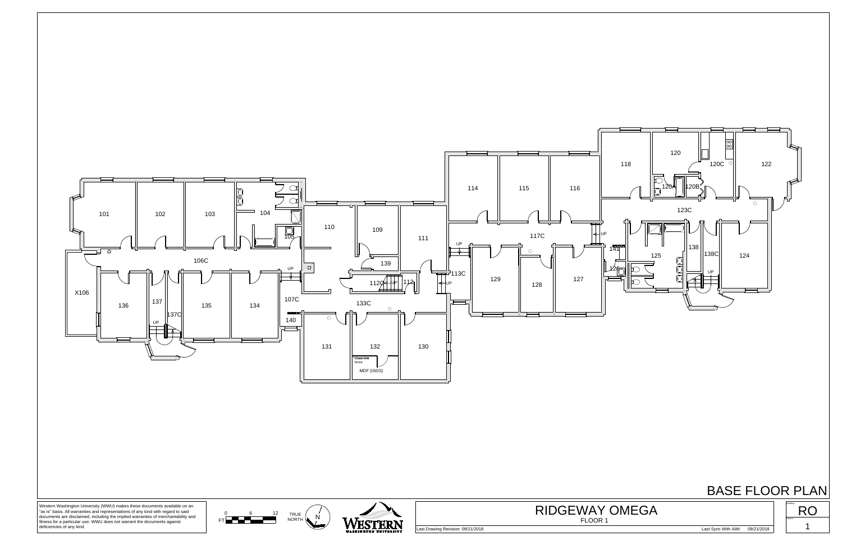

## BASE FLOOR PLAN





Western Washington University (WWU) makes these documents available on an "as is" basis. All warranties and representations of any kind with regard to said documents are disclaimed, including the implied warranties of merchantability and fitness for a particular use. WWU does not warrant the documents against deficiencies of any kind.

Last Drawing Revision: 09/21/2018 Last Sync With AIM: 09/21/2018



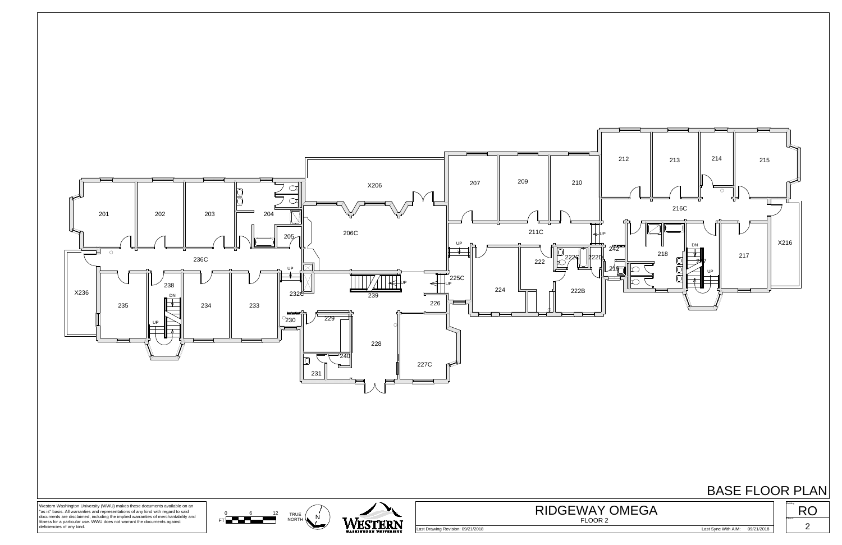

## BASE FLOOR PLAN





Western Washington University (WWU) makes these documents available on an "as is" basis. All warranties and representations of any kind with regard to said documents are disclaimed, including the implied warranties of merchantability and fitness for a particular use. WWU does not warrant the documents against deficiencies of any kind.

Last Drawing Revision: 09/21/2018 Last Sync With AIM: 09/21/2018